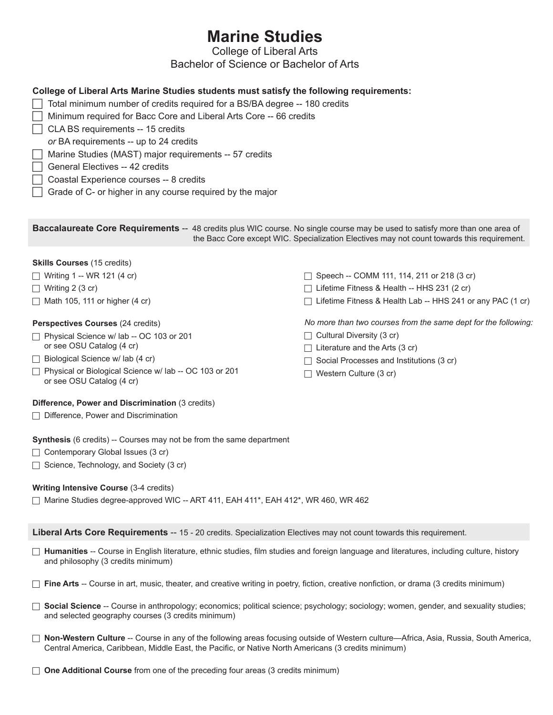# **Marine Studies**

# College of Liberal Arts

## Bachelor of Science or Bachelor of Arts

### **College of Liberal Arts Marine Studies students must satisfy the following requirements:**

- $\Box$  Total minimum number of credits required for a BS/BA degree -- 180 credits
- $\Box$  Minimum required for Bacc Core and Liberal Arts Core -- 66 credits
- $\Box$  CLA BS requirements -- 15 credits
	- *or* BA requirements -- up to 24 credits
- Marine Studies (MAST) major requirements -- 57 credits
- c General Electives -- 42 credits
- c Coastal Experience courses -- 8 credits
- Grade of C- or higher in any course required by the major

**Baccalaureate Core Requirements** -- 48 credits plus WIC course. No single course may be used to satisfy more than one area of the Bacc Core except WIC. Specialization Electives may not count towards this requirement.

#### **Skills Courses** (15 credits)  $\Box$  Writing 1 -- WR 121 (4 cr)  $\Box$  Writing 2 (3 cr)  $\Box$  Math 105, 111 or higher (4 cr) **Perspectives Courses** (24 credits)  $\Box$  Physical Science w/ lab -- OC 103 or 201 or see OSU Catalog (4 cr)  $\Box$  Biological Science w/ lab (4 cr)  $\Box$  Cultural Diversity (3 cr)  $\Box$  Literature and the Arts (3 cr)

 $\Box$  Physical or Biological Science w/ lab -- OC 103 or 201 or see OSU Catalog (4 cr)

#### **Difference, Power and Discrimination** (3 credits)

 $\Box$  Difference, Power and Discrimination

**Synthesis** (6 credits) -- Courses may not be from the same department

- $\Box$  Contemporary Global Issues (3 cr)
- $\Box$  Science, Technology, and Society (3 cr)

#### **Writing Intensive Course** (3-4 credits)

 $\Box$  Marine Studies degree-approved WIC -- ART 411, EAH 411\*, EAH 412\*, WR 460, WR 462

#### **Liberal Arts Core Requirements** -- 15 - 20 credits. Specialization Electives may not count towards this requirement.

- □ Humanities -- Course in English literature, ethnic studies, film studies and foreign language and literatures, including culture, history and philosophy (3 credits minimum)
- $\Box$  Fine Arts -- Course in art, music, theater, and creative writing in poetry, fiction, creative nonfiction, or drama (3 credits minimum)
- □ **Social Science** -- Course in anthropology; economics; political science; psychology; sociology; women, gender, and sexuality studies; and selected geography courses (3 credits minimum)
- $□$  **Non-Western Culture** -- Course in any of the following areas focusing outside of Western culture—Africa, Asia, Russia, South America, Central America, Caribbean, Middle East, the Pacific, or Native North Americans (3 credits minimum)
- **One Additional Course** from one of the preceding four areas (3 credits minimum)
- $\Box$  Speech -- COMM 111, 114, 211 or 218 (3 cr)
	- $\Box$  Lifetime Fitness & Health -- HHS 231 (2 cr)
	- $\Box$  Lifetime Fitness & Health Lab -- HHS 241 or any PAC (1 cr)

*No more than two courses from the same dept for the following:*

- $\Box$  Social Processes and Institutions (3 cr)
- $\Box$  Western Culture (3 cr)